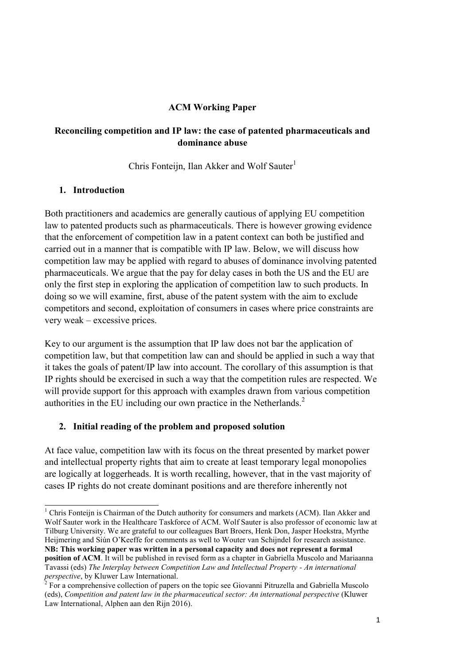### **ACM Working Paper**

### **Reconciling competition and IP law: the case of patented pharmaceuticals and dominance abuse**

Chris Fonteijn, Ilan Akker and Wolf Sauter $<sup>1</sup>$ </sup>

### **1. Introduction**

1

Both practitioners and academics are generally cautious of applying EU competition law to patented products such as pharmaceuticals. There is however growing evidence that the enforcement of competition law in a patent context can both be justified and carried out in a manner that is compatible with IP law. Below, we will discuss how competition law may be applied with regard to abuses of dominance involving patented pharmaceuticals. We argue that the pay for delay cases in both the US and the EU are only the first step in exploring the application of competition law to such products. In doing so we will examine, first, abuse of the patent system with the aim to exclude competitors and second, exploitation of consumers in cases where price constraints are very weak – excessive prices.

Key to our argument is the assumption that IP law does not bar the application of competition law, but that competition law can and should be applied in such a way that it takes the goals of patent/IP law into account. The corollary of this assumption is that IP rights should be exercised in such a way that the competition rules are respected. We will provide support for this approach with examples drawn from various competition authorities in the EU including our own practice in the Netherlands.<sup>2</sup>

## **2. Initial reading of the problem and proposed solution**

At face value, competition law with its focus on the threat presented by market power and intellectual property rights that aim to create at least temporary legal monopolies are logically at loggerheads. It is worth recalling, however, that in the vast majority of cases IP rights do not create dominant positions and are therefore inherently not

<sup>&</sup>lt;sup>1</sup> Chris Fonteijn is Chairman of the Dutch authority for consumers and markets (ACM). Ilan Akker and Wolf Sauter work in the Healthcare Taskforce of ACM. Wolf Sauter is also professor of economic law at Tilburg University. We are grateful to our colleagues Bart Broers, Henk Don, Jasper Hoekstra, Myrthe Heijmering and Siún O'Keeffe for comments as well to Wouter van Schijndel for research assistance. **NB: This working paper was written in a personal capacity and does not represent a formal** 

**position of ACM**. It will be published in revised form as a chapter in Gabriella Muscolo and Mariaanna Tavassi (eds) *The Interplay between Competition Law and Intellectual Property - An international perspective*, by Kluwer Law International. 2 For a comprehensive collection of papers on the topic see Giovanni Pitruzella and Gabriella Muscolo

<sup>(</sup>eds), *Competition and patent law in the pharmaceutical sector: An international perspective* (Kluwer Law International, Alphen aan den Rijn 2016).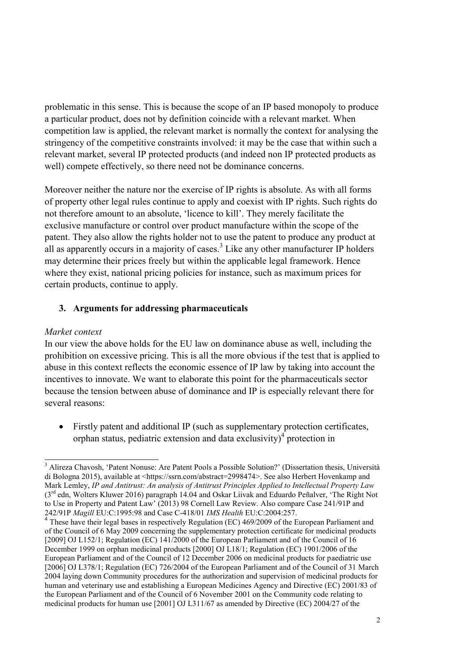problematic in this sense. This is because the scope of an IP based monopoly to produce a particular product, does not by definition coincide with a relevant market. When competition law is applied, the relevant market is normally the context for analysing the stringency of the competitive constraints involved: it may be the case that within such a relevant market, several IP protected products (and indeed non IP protected products as well) compete effectively, so there need not be dominance concerns.

Moreover neither the nature nor the exercise of IP rights is absolute. As with all forms of property other legal rules continue to apply and coexist with IP rights. Such rights do not therefore amount to an absolute, 'licence to kill'. They merely facilitate the exclusive manufacture or control over product manufacture within the scope of the patent. They also allow the rights holder not to use the patent to produce any product at all as apparently occurs in a majority of cases.<sup>3</sup> Like any other manufacturer IP holders may determine their prices freely but within the applicable legal framework. Hence where they exist, national pricing policies for instance, such as maximum prices for certain products, continue to apply.

## **3. Arguments for addressing pharmaceuticals**

## *Market context*

-

In our view the above holds for the EU law on dominance abuse as well, including the prohibition on excessive pricing. This is all the more obvious if the test that is applied to abuse in this context reflects the economic essence of IP law by taking into account the incentives to innovate. We want to elaborate this point for the pharmaceuticals sector because the tension between abuse of dominance and IP is especially relevant there for several reasons:

 Firstly patent and additional IP (such as supplementary protection certificates, orphan status, pediatric extension and data exclusivity) $\textsuperscript{4}$  protection in

<sup>&</sup>lt;sup>3</sup> Alireza Chavosh, 'Patent Nonuse: Are Patent Pools a Possible Solution?' (Dissertation thesis, Università di Bologna 2015), available at <https://ssrn.com/abstract=2998474>. See also Herbert Hovenkamp and Mark Lemley, *IP and Antitrust: An analysis of Antitrust Principles Applied to Intellectual Property Law*  (3rd edn, Wolters Kluwer 2016) paragraph 14.04 and Oskar Liivak and Eduardo Peñalver, 'The Right Not to Use in Property and Patent Law' (2013) 98 Cornell Law Review. Also compare Case 241/91P and

<sup>242/91</sup>P *Magill* EU:C:1995:98 and Case C-418/01 *IMS Health* EU:C:2004:257. 4 These have their legal bases in respectively Regulation (EC) 469/2009 of the European Parliament and of the Council of 6 May 2009 concerning the supplementary protection certificate for medicinal products [2009] OJ L152/1; Regulation (EC) 141/2000 of the European Parliament and of the Council of 16 December 1999 on orphan medicinal products [2000] OJ L18/1; Regulation (EC) 1901/2006 of the European Parliament and of the Council of 12 December 2006 on medicinal products for paediatric use [2006] OJ L378/1; Regulation (EC) 726/2004 of the European Parliament and of the Council of 31 March 2004 laying down Community procedures for the authorization and supervision of medicinal products for human and veterinary use and establishing a European Medicines Agency and Directive (EC) 2001/83 of the European Parliament and of the Council of 6 November 2001 on the Community code relating to medicinal products for human use [2001] OJ L311/67 as amended by Directive (EC) 2004/27 of the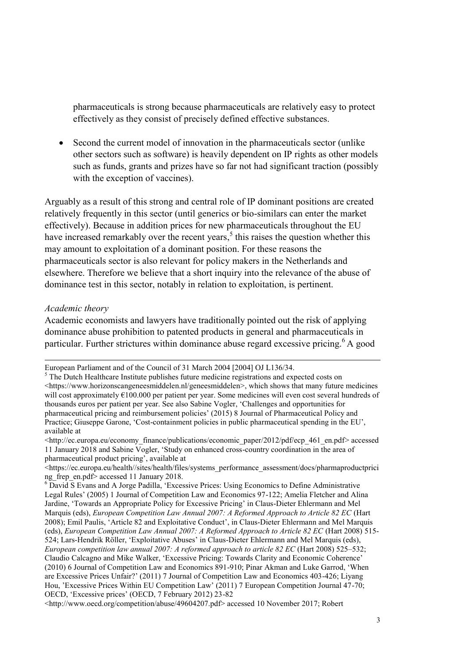pharmaceuticals is strong because pharmaceuticals are relatively easy to protect effectively as they consist of precisely defined effective substances.

 Second the current model of innovation in the pharmaceuticals sector (unlike other sectors such as software) is heavily dependent on IP rights as other models such as funds, grants and prizes have so far not had significant traction (possibly with the exception of vaccines).

Arguably as a result of this strong and central role of IP dominant positions are created relatively frequently in this sector (until generics or bio-similars can enter the market effectively). Because in addition prices for new pharmaceuticals throughout the EU have increased remarkably over the recent years,<sup>5</sup> this raises the question whether this may amount to exploitation of a dominant position. For these reasons the pharmaceuticals sector is also relevant for policy makers in the Netherlands and elsewhere. Therefore we believe that a short inquiry into the relevance of the abuse of dominance test in this sector, notably in relation to exploitation, is pertinent.

#### *Academic theory*

 $\overline{a}$ 

Academic economists and lawyers have traditionally pointed out the risk of applying dominance abuse prohibition to patented products in general and pharmaceuticals in particular. Further strictures within dominance abuse regard excessive pricing.<sup>6</sup> A good

European Parliament and of the Council of 31 March 2004 [2004] OJ L136/34.

<sup>&</sup>lt;sup>5</sup> The Dutch Healthcare Institute publishes future medicine registrations and expected costs on <https://www.horizonscangeneesmiddelen.nl/geneesmiddelen>, which shows that many future medicines will cost approximately €100.000 per patient per year. Some medicines will even cost several hundreds of thousands euros per patient per year. See also Sabine Vogler, 'Challenges and opportunities for pharmaceutical pricing and reimbursement policies' (2015) 8 Journal of Pharmaceutical Policy and Practice; Giuseppe Garone, 'Cost-containment policies in public pharmaceutical spending in the EU', available at

<sup>&</sup>lt;http://ec.europa.eu/economy\_finance/publications/economic\_paper/2012/pdf/ecp\_461\_en.pdf> accessed 11 January 2018 and Sabine Vogler, 'Study on enhanced cross-country coordination in the area of pharmaceutical product pricing', available at

<sup>&</sup>lt;https://ec.europa.eu/health//sites/health/files/systems\_performance\_assessment/docs/pharmaproductprici ng\_frep\_en.pdf> accessed 11 January 2018.

<sup>6</sup> David S Evans and A Jorge Padilla, 'Excessive Prices: Using Economics to Define Administrative Legal Rules' (2005) 1 Journal of Competition Law and Economics 97-122; Amelia Fletcher and Alina Jardine, 'Towards an Appropriate Policy for Excessive Pricing' in Claus-Dieter Ehlermann and Mel Marquis (eds), *European Competition Law Annual 2007: A Reformed Approach to Article 82 EC* (Hart 2008); Emil Paulis, 'Article 82 and Exploitative Conduct', in Claus-Dieter Ehlermann and Mel Marquis (eds), *European Competition Law Annual 2007: A Reformed Approach to Article 82 EC* (Hart 2008) 515- 524; Lars-Hendrik Röller, 'Exploitative Abuses' in Claus-Dieter Ehlermann and Mel Marquis (eds), *European competition law annual 2007: A reformed approach to article 82 EC* (Hart 2008) 525–532; Claudio Calcagno and Mike Walker, 'Excessive Pricing: Towards Clarity and Economic Coherence' (2010) 6 Journal of Competition Law and Economics 891-910; Pinar Akman and Luke Garrod, 'When are Excessive Prices Unfair?' (2011) 7 Journal of Competition Law and Economics 403-426; Liyang Hou, 'Excessive Prices Within EU Competition Law' (2011) 7 European Competition Journal 47-70; OECD, 'Excessive prices' (OECD, 7 February 2012) 23-82

<sup>&</sup>lt;http://www.oecd.org/competition/abuse/49604207.pdf> accessed 10 November 2017; Robert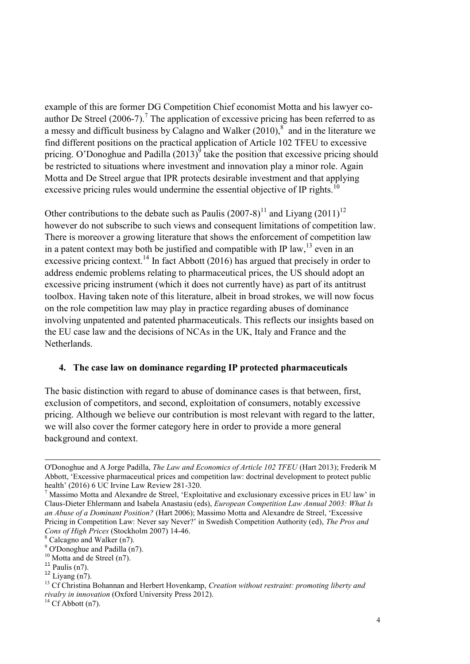example of this are former DG Competition Chief economist Motta and his lawyer coauthor De Streel  $(2006-7)$ .<sup>7</sup> The application of excessive pricing has been referred to as a messy and difficult business by Calagno and Walker  $(2010)$ ,<sup>8</sup> and in the literature we find different positions on the practical application of Article 102 TFEU to excessive pricing. O'Donoghue and Padilla  $(2013)^9$  take the position that excessive pricing should be restricted to situations where investment and innovation play a minor role. Again Motta and De Streel argue that IPR protects desirable investment and that applying excessive pricing rules would undermine the essential objective of IP rights.<sup>10</sup>

Other contributions to the debate such as Paulis  $(2007-8)^{11}$  and Liyang  $(2011)^{12}$ however do not subscribe to such views and consequent limitations of competition law. There is moreover a growing literature that shows the enforcement of competition law in a patent context may both be justified and compatible with IP law,  $^{13}$  even in an excessive pricing context.<sup>14</sup> In fact Abbott (2016) has argued that precisely in order to address endemic problems relating to pharmaceutical prices, the US should adopt an excessive pricing instrument (which it does not currently have) as part of its antitrust toolbox. Having taken note of this literature, albeit in broad strokes, we will now focus on the role competition law may play in practice regarding abuses of dominance involving unpatented and patented pharmaceuticals. This reflects our insights based on the EU case law and the decisions of NCAs in the UK, Italy and France and the Netherlands.

#### **4. The case law on dominance regarding IP protected pharmaceuticals**

The basic distinction with regard to abuse of dominance cases is that between, first, exclusion of competitors, and second, exploitation of consumers, notably excessive pricing. Although we believe our contribution is most relevant with regard to the latter, we will also cover the former category here in order to provide a more general background and context.

-

O'Donoghue and A Jorge Padilla, *The Law and Economics of Article 102 TFEU* (Hart 2013); Frederik M Abbott, 'Excessive pharmaceutical prices and competition law: doctrinal development to protect public health' (2016) 6 UC Irvine Law Review 281-320.

<sup>7</sup> Massimo Motta and Alexandre de Streel, 'Exploitative and exclusionary excessive prices in EU law' in Claus-Dieter Ehlermann and Isabela Anastasiu (eds), *European Competition Law Annual 2003: What Is an Abuse of a Dominant Position?* (Hart 2006); Massimo Motta and Alexandre de Streel, 'Excessive Pricing in Competition Law: Never say Never?' in Swedish Competition Authority (ed), *The Pros and Cons of High Prices* (Stockholm 2007) 14-46.

<sup>8</sup> Calcagno and Walker (n7).

<sup>&</sup>lt;sup>9</sup> O'Donoghue and Padilla (n7).

 $10$  Motta and de Streel (n7).

 $11$  Paulis (n7).

 $12$  Livang (n7).

<sup>13</sup> Cf Christina Bohannan and Herbert Hovenkamp, *Creation without restraint: promoting liberty and rivalry in innovation* (Oxford University Press 2012).

 $14$  Cf Abbott (n7).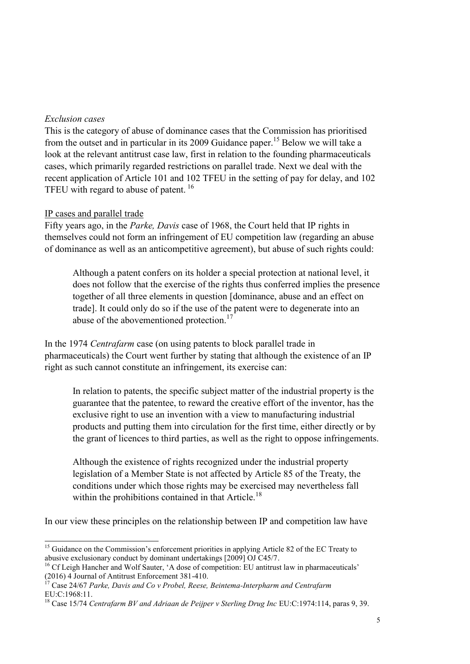### *Exclusion cases*

This is the category of abuse of dominance cases that the Commission has prioritised from the outset and in particular in its 2009 Guidance paper.<sup>15</sup> Below we will take a look at the relevant antitrust case law, first in relation to the founding pharmaceuticals cases, which primarily regarded restrictions on parallel trade. Next we deal with the recent application of Article 101 and 102 TFEU in the setting of pay for delay, and 102 TFEU with regard to abuse of patent.<sup>16</sup>

### IP cases and parallel trade

Fifty years ago, in the *Parke, Davis* case of 1968, the Court held that IP rights in themselves could not form an infringement of EU competition law (regarding an abuse of dominance as well as an anticompetitive agreement), but abuse of such rights could:

Although a patent confers on its holder a special protection at national level, it does not follow that the exercise of the rights thus conferred implies the presence together of all three elements in question [dominance, abuse and an effect on trade]. It could only do so if the use of the patent were to degenerate into an abuse of the abovementioned protection.<sup>17</sup>

In the 1974 *Centrafarm* case (on using patents to block parallel trade in pharmaceuticals) the Court went further by stating that although the existence of an IP right as such cannot constitute an infringement, its exercise can:

In relation to patents, the specific subject matter of the industrial property is the guarantee that the patentee, to reward the creative effort of the inventor, has the exclusive right to use an invention with a view to manufacturing industrial products and putting them into circulation for the first time, either directly or by the grant of licences to third parties, as well as the right to oppose infringements.

Although the existence of rights recognized under the industrial property legislation of a Member State is not affected by Article 85 of the Treaty, the conditions under which those rights may be exercised may nevertheless fall within the prohibitions contained in that Article.<sup>18</sup>

In our view these principles on the relationship between IP and competition law have

<sup>-</sup><sup>15</sup> Guidance on the Commission's enforcement priorities in applying Article 82 of the EC Treaty to abusive exclusionary conduct by dominant undertakings [2009] OJ C45/7.

<sup>&</sup>lt;sup>16</sup> Cf Leigh Hancher and Wolf Sauter, 'A dose of competition: EU antitrust law in pharmaceuticals' (2016) 4 Journal of Antitrust Enforcement 381-410.

<sup>17</sup> Case 24/67 *Parke, Davis and Co v Probel, Reese, Beintema-Interpharm and Centrafarm* EU:C:1968:11.

<sup>&</sup>lt;sup>18</sup> Case 15/74 *Centrafarm BV and Adriaan de Peijper v Sterling Drug Inc EU:C:1974:114, paras 9, 39.*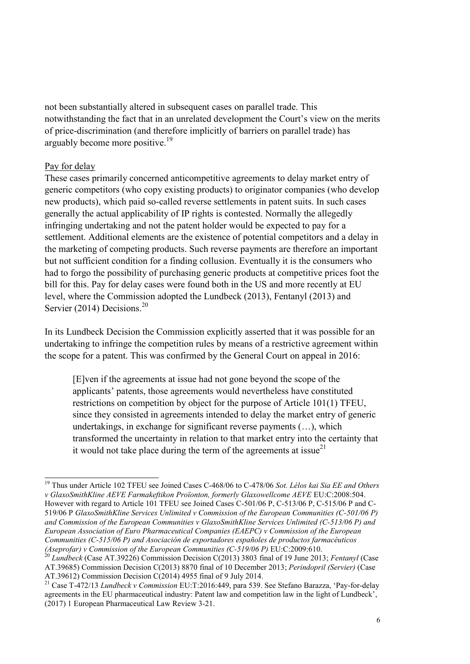not been substantially altered in subsequent cases on parallel trade. This notwithstanding the fact that in an unrelated development the Court's view on the merits of price-discrimination (and therefore implicitly of barriers on parallel trade) has arguably become more positive.<sup>19</sup>

### Pay for delay

-

These cases primarily concerned anticompetitive agreements to delay market entry of generic competitors (who copy existing products) to originator companies (who develop new products), which paid so-called reverse settlements in patent suits. In such cases generally the actual applicability of IP rights is contested. Normally the allegedly infringing undertaking and not the patent holder would be expected to pay for a settlement. Additional elements are the existence of potential competitors and a delay in the marketing of competing products. Such reverse payments are therefore an important but not sufficient condition for a finding collusion. Eventually it is the consumers who had to forgo the possibility of purchasing generic products at competitive prices foot the bill for this. Pay for delay cases were found both in the US and more recently at EU level, where the Commission adopted the Lundbeck (2013), Fentanyl (2013) and Servier (2014) Decisions.<sup>20</sup>

In its Lundbeck Decision the Commission explicitly asserted that it was possible for an undertaking to infringe the competition rules by means of a restrictive agreement within the scope for a patent. This was confirmed by the General Court on appeal in 2016:

[E]ven if the agreements at issue had not gone beyond the scope of the applicants' patents, those agreements would nevertheless have constituted restrictions on competition by object for the purpose of Article 101(1) TFEU, since they consisted in agreements intended to delay the market entry of generic undertakings, in exchange for significant reverse payments (…), which transformed the uncertainty in relation to that market entry into the certainty that it would not take place during the term of the agreements at issue $^{21}$ 

<sup>19</sup> Thus under Article 102 TFEU see Joined Cases C-468/06 to C-478/06 *Sot. Lélos kai Sia EE and Others v GlaxoSmithKline AEVE Farmakeftikon Proïonton, formerly Glaxowellcome AEVE* EU:C:2008:504. However with regard to Article 101 TFEU see Joined Cases C-501/06 P, C-513/06 P, C-515/06 P and C-519/06 P *GlaxoSmithKline Services Unlimited v Commission of the European Communities (C-501/06 P) and Commission of the European Communities v GlaxoSmithKline Services Unlimited (C-513/06 P) and European Association of Euro Pharmaceutical Companies (EAEPC) v Commission of the European Communities (C-515/06 P) and Asociación de exportadores españoles de productos farmacéuticos (Aseprofar) v Commission of the European Communities (C-519/06 P) EU:C:2009:610.* 

<sup>20</sup> *Lundbeck* (Case AT.39226) Commission Decision C(2013) 3803 final of 19 June 2013; *Fentanyl* (Case AT.39685) Commission Decision C(2013) 8870 final of 10 December 2013; *Perindopril (Servier)* (Case AT.39612) Commission Decision C(2014) 4955 final of 9 July 2014.

<sup>21</sup> Case T-472/13 *Lundbeck v Commission* EU:T:2016:449, para 539. See Stefano Barazza, 'Pay-for-delay agreements in the EU pharmaceutical industry: Patent law and competition law in the light of Lundbeck', (2017) 1 European Pharmaceutical Law Review 3-21.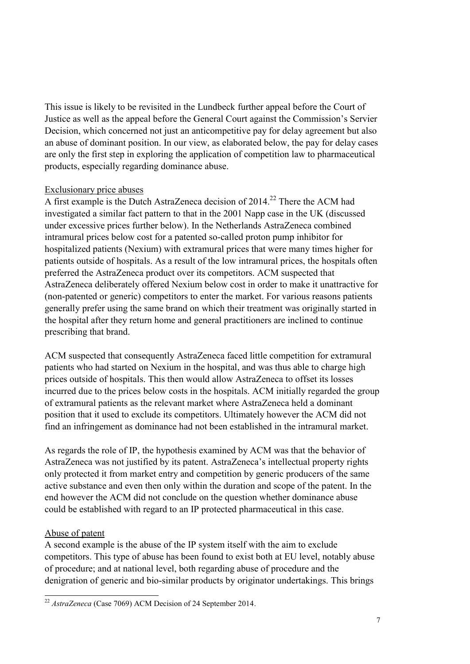This issue is likely to be revisited in the Lundbeck further appeal before the Court of Justice as well as the appeal before the General Court against the Commission's Servier Decision, which concerned not just an anticompetitive pay for delay agreement but also an abuse of dominant position. In our view, as elaborated below, the pay for delay cases are only the first step in exploring the application of competition law to pharmaceutical products, especially regarding dominance abuse.

## Exclusionary price abuses

A first example is the Dutch AstraZeneca decision of 2014.<sup>22</sup> There the ACM had investigated a similar fact pattern to that in the 2001 Napp case in the UK (discussed under excessive prices further below). In the Netherlands AstraZeneca combined intramural prices below cost for a patented so-called proton pump inhibitor for hospitalized patients (Nexium) with extramural prices that were many times higher for patients outside of hospitals. As a result of the low intramural prices, the hospitals often preferred the AstraZeneca product over its competitors. ACM suspected that AstraZeneca deliberately offered Nexium below cost in order to make it unattractive for (non-patented or generic) competitors to enter the market. For various reasons patients generally prefer using the same brand on which their treatment was originally started in the hospital after they return home and general practitioners are inclined to continue prescribing that brand.

ACM suspected that consequently AstraZeneca faced little competition for extramural patients who had started on Nexium in the hospital, and was thus able to charge high prices outside of hospitals. This then would allow AstraZeneca to offset its losses incurred due to the prices below costs in the hospitals. ACM initially regarded the group of extramural patients as the relevant market where AstraZeneca held a dominant position that it used to exclude its competitors. Ultimately however the ACM did not find an infringement as dominance had not been established in the intramural market.

As regards the role of IP, the hypothesis examined by ACM was that the behavior of AstraZeneca was not justified by its patent. AstraZeneca's intellectual property rights only protected it from market entry and competition by generic producers of the same active substance and even then only within the duration and scope of the patent. In the end however the ACM did not conclude on the question whether dominance abuse could be established with regard to an IP protected pharmaceutical in this case.

## Abuse of patent

A second example is the abuse of the IP system itself with the aim to exclude competitors. This type of abuse has been found to exist both at EU level, notably abuse of procedure; and at national level, both regarding abuse of procedure and the denigration of generic and bio-similar products by originator undertakings. This brings

<sup>-</sup><sup>22</sup> *AstraZeneca* (Case 7069) ACM Decision of 24 September 2014.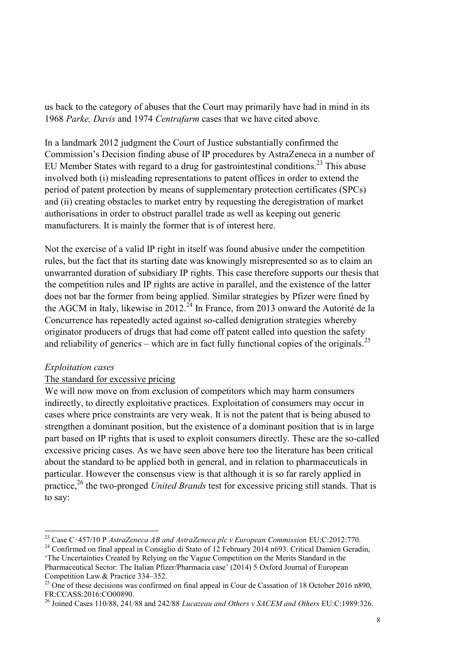us back to the category of abuses that the Court may primarily have had in mind in its 1968 *Parke, Davis* and 1974 *Centrafarm* cases that we have cited above.

In a landmark 2012 judgment the Court of Justice substantially confirmed the Commission's Decision finding abuse of IP procedures by AstraZeneca in a number of EU Member States with regard to a drug for gastrointestinal conditions.<sup>23</sup> This abuse involved both (i) misleading representations to patent offices in order to extend the period of patent protection by means of supplementary protection certificates (SPCs) and (ii) creating obstacles to market entry by requesting the deregistration of market authorisations in order to obstruct parallel trade as well as keeping out generic manufacturers. It is mainly the former that is of interest here.

Not the exercise of a valid IP right in itself was found abusive under the competition rules, but the fact that its starting date was knowingly misrepresented so as to claim an unwarranted duration of subsidiary IP rights. This case therefore supports our thesis that the competition rules and IP rights are active in parallel, and the existence of the latter does not bar the former from being applied. Similar strategies by Pfizer were fined by the AGCM in Italy, likewise in  $2012^{24}$  In France, from 2013 onward the Autorité de la Concurrence has repeatedly acted against so-called denigration strategies whereby originator producers of drugs that had come off patent called into question the safety and reliability of generics – which are in fact fully functional copies of the originals.<sup>25</sup>

## *Exploitation cases*

1

## The standard for excessive pricing

We will now move on from exclusion of competitors which may harm consumers indirectly, to directly exploitative practices. Exploitation of consumers may occur in cases where price constraints are very weak. It is not the patent that is being abused to strengthen a dominant position, but the existence of a dominant position that is in large part based on IP rights that is used to exploit consumers directly. These are the so-called excessive pricing cases. As we have seen above here too the literature has been critical about the standard to be applied both in general, and in relation to pharmaceuticals in particular. However the consensus view is that although it is so far rarely applied in practice,<sup>26</sup> the two-pronged *United Brands* test for excessive pricing still stands. That is to say:

<sup>24</sup> Confirmed on final appeal in Consiglio di Stato of 12 February 2014 n693. Critical Damien Geradin, 'The Uncertainties Created by Relying on the Vague Competition on the Merits Standard in the

<sup>23</sup> Case C‑457/10 P *AstraZeneca AB and AstraZeneca plc v European Commission* EU:C:2012:770.

Pharmaceutical Sector: The Italian Pfizer/Pharmacia case' (2014) 5 Oxford Journal of European Competition Law & Practice 334–352.

<sup>&</sup>lt;sup>25</sup> One of these decisions was confirmed on final appeal in Cour de Cassation of 18 October 2016 n890, FR:CCASS:2016:CO00890.

<sup>26</sup> Joined Cases 110/88, 241/88 and 242/88 *Lucazeau and Others v SACEM and Others* EU:C:1989:326.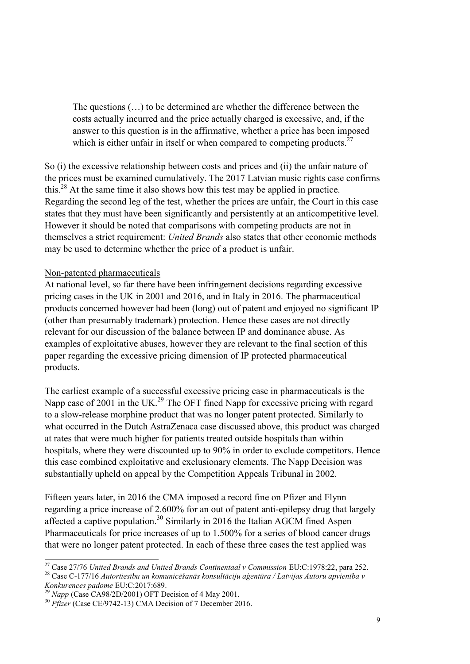The questions (…) to be determined are whether the difference between the costs actually incurred and the price actually charged is excessive, and, if the answer to this question is in the affirmative, whether a price has been imposed which is either unfair in itself or when compared to competing products.<sup>27</sup>

So (i) the excessive relationship between costs and prices and (ii) the unfair nature of the prices must be examined cumulatively. The 2017 Latvian music rights case confirms this.<sup>28</sup> At the same time it also shows how this test may be applied in practice. Regarding the second leg of the test, whether the prices are unfair, the Court in this case states that they must have been significantly and persistently at an anticompetitive level. However it should be noted that comparisons with competing products are not in themselves a strict requirement: *United Brands* also states that other economic methods may be used to determine whether the price of a product is unfair.

#### Non-patented pharmaceuticals

At national level, so far there have been infringement decisions regarding excessive pricing cases in the UK in 2001 and 2016, and in Italy in 2016. The pharmaceutical products concerned however had been (long) out of patent and enjoyed no significant IP (other than presumably trademark) protection. Hence these cases are not directly relevant for our discussion of the balance between IP and dominance abuse. As examples of exploitative abuses, however they are relevant to the final section of this paper regarding the excessive pricing dimension of IP protected pharmaceutical products.

The earliest example of a successful excessive pricing case in pharmaceuticals is the Napp case of 2001 in the UK.<sup>29</sup> The OFT fined Napp for excessive pricing with regard to a slow-release morphine product that was no longer patent protected. Similarly to what occurred in the Dutch AstraZenaca case discussed above, this product was charged at rates that were much higher for patients treated outside hospitals than within hospitals, where they were discounted up to 90% in order to exclude competitors. Hence this case combined exploitative and exclusionary elements. The Napp Decision was substantially upheld on appeal by the Competition Appeals Tribunal in 2002.

Fifteen years later, in 2016 the CMA imposed a record fine on Pfizer and Flynn regarding a price increase of 2.600% for an out of patent anti-epilepsy drug that largely affected a captive population.<sup>30</sup> Similarly in 2016 the Italian AGCM fined Aspen Pharmaceuticals for price increases of up to 1.500% for a series of blood cancer drugs that were no longer patent protected. In each of these three cases the test applied was

 $\overline{a}$ <sup>27</sup> Case 27/76 *United Brands and United Brands Continentaal v Commission* EU:C:1978:22, para 252.

<sup>28</sup> Case C-177/16 *Autortiesību un komunicēšanās konsultāciju aģentūra / Latvijas Autoru apvienība v Konkurences padome* EU:C:2017:689.

<sup>&</sup>lt;sup>29</sup> *Napp* (Case CA98/2D/2001) OFT Decision of 4 May 2001.

<sup>&</sup>lt;sup>30</sup> *Pfizer* (Case CE/9742-13) CMA Decision of 7 December 2016.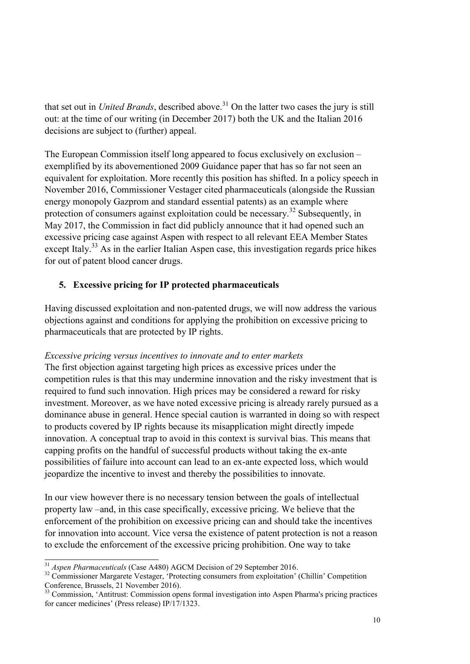that set out in *United Brands*, described above.<sup>31</sup> On the latter two cases the jury is still out: at the time of our writing (in December 2017) both the UK and the Italian 2016 decisions are subject to (further) appeal.

The European Commission itself long appeared to focus exclusively on exclusion – exemplified by its abovementioned 2009 Guidance paper that has so far not seen an equivalent for exploitation. More recently this position has shifted. In a policy speech in November 2016, Commissioner Vestager cited pharmaceuticals (alongside the Russian energy monopoly Gazprom and standard essential patents) as an example where protection of consumers against exploitation could be necessary.<sup>32</sup> Subsequently, in May 2017, the Commission in fact did publicly announce that it had opened such an excessive pricing case against Aspen with respect to all relevant EEA Member States except Italy.<sup>33</sup> As in the earlier Italian Aspen case, this investigation regards price hikes for out of patent blood cancer drugs.

# **5. Excessive pricing for IP protected pharmaceuticals**

Having discussed exploitation and non-patented drugs, we will now address the various objections against and conditions for applying the prohibition on excessive pricing to pharmaceuticals that are protected by IP rights.

# *Excessive pricing versus incentives to innovate and to enter markets*

The first objection against targeting high prices as excessive prices under the competition rules is that this may undermine innovation and the risky investment that is required to fund such innovation. High prices may be considered a reward for risky investment. Moreover, as we have noted excessive pricing is already rarely pursued as a dominance abuse in general. Hence special caution is warranted in doing so with respect to products covered by IP rights because its misapplication might directly impede innovation. A conceptual trap to avoid in this context is survival bias. This means that capping profits on the handful of successful products without taking the ex-ante possibilities of failure into account can lead to an ex-ante expected loss, which would jeopardize the incentive to invest and thereby the possibilities to innovate.

In our view however there is no necessary tension between the goals of intellectual property law –and, in this case specifically, excessive pricing. We believe that the enforcement of the prohibition on excessive pricing can and should take the incentives for innovation into account. Vice versa the existence of patent protection is not a reason to exclude the enforcement of the excessive pricing prohibition. One way to take

 $\overline{a}$ <sup>31</sup> *Aspen Pharmaceuticals* (Case A480) AGCM Decision of 29 September 2016.

<sup>&</sup>lt;sup>32</sup> Commissioner Margarete Vestager, 'Protecting consumers from exploitation' (Chillin' Competition Conference, Brussels, 21 November 2016).

<sup>&</sup>lt;sup>33</sup> Commission, 'Antitrust: Commission opens formal investigation into Aspen Pharma's pricing practices for cancer medicines' (Press release) IP/17/1323.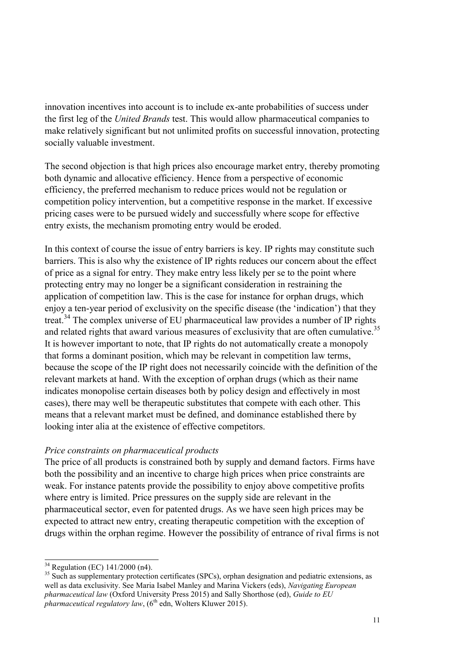innovation incentives into account is to include ex-ante probabilities of success under the first leg of the *United Brands* test. This would allow pharmaceutical companies to make relatively significant but not unlimited profits on successful innovation, protecting socially valuable investment.

The second objection is that high prices also encourage market entry, thereby promoting both dynamic and allocative efficiency. Hence from a perspective of economic efficiency, the preferred mechanism to reduce prices would not be regulation or competition policy intervention, but a competitive response in the market. If excessive pricing cases were to be pursued widely and successfully where scope for effective entry exists, the mechanism promoting entry would be eroded.

In this context of course the issue of entry barriers is key. IP rights may constitute such barriers. This is also why the existence of IP rights reduces our concern about the effect of price as a signal for entry. They make entry less likely per se to the point where protecting entry may no longer be a significant consideration in restraining the application of competition law. This is the case for instance for orphan drugs, which enjoy a ten-year period of exclusivity on the specific disease (the 'indication') that they treat.<sup>34</sup> The complex universe of EU pharmaceutical law provides a number of IP rights and related rights that award various measures of exclusivity that are often cumulative.<sup>35</sup> It is however important to note, that IP rights do not automatically create a monopoly that forms a dominant position, which may be relevant in competition law terms, because the scope of the IP right does not necessarily coincide with the definition of the relevant markets at hand. With the exception of orphan drugs (which as their name indicates monopolise certain diseases both by policy design and effectively in most cases), there may well be therapeutic substitutes that compete with each other. This means that a relevant market must be defined, and dominance established there by looking inter alia at the existence of effective competitors.

#### *Price constraints on pharmaceutical products*

The price of all products is constrained both by supply and demand factors. Firms have both the possibility and an incentive to charge high prices when price constraints are weak. For instance patents provide the possibility to enjoy above competitive profits where entry is limited. Price pressures on the supply side are relevant in the pharmaceutical sector, even for patented drugs. As we have seen high prices may be expected to attract new entry, creating therapeutic competition with the exception of drugs within the orphan regime. However the possibility of entrance of rival firms is not

 $\overline{a}$  $34$  Regulation (EC) 141/2000 (n4).

<sup>&</sup>lt;sup>35</sup> Such as supplementary protection certificates (SPCs), orphan designation and pediatric extensions, as well as data exclusivity. See Maria Isabel Manley and Marina Vickers (eds), *Navigating European pharmaceutical law* (Oxford University Press 2015) and Sally Shorthose (ed), *Guide to EU*   $p$ *pharmaceutical regulatory law*, ( $6<sup>th</sup>$  edn, Wolters Kluwer 2015).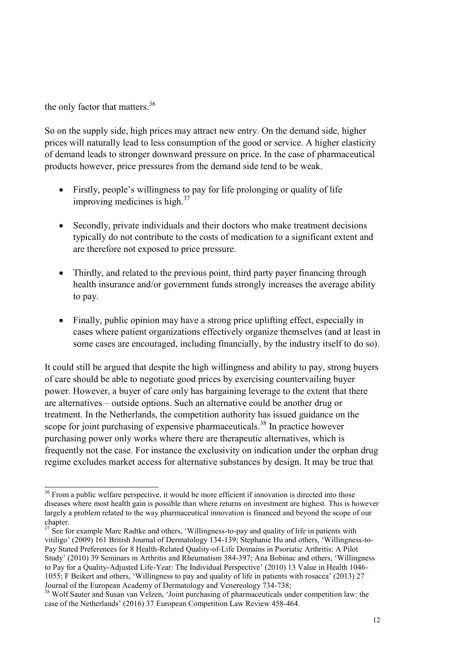the only factor that matters.<sup>36</sup>

-

So on the supply side, high prices may attract new entry. On the demand side, higher prices will naturally lead to less consumption of the good or service. A higher elasticity of demand leads to stronger downward pressure on price. In the case of pharmaceutical products however, price pressures from the demand side tend to be weak.

- Firstly, people's willingness to pay for life prolonging or quality of life improving medicines is high. $37$
- Secondly, private individuals and their doctors who make treatment decisions typically do not contribute to the costs of medication to a significant extent and are therefore not exposed to price pressure.
- Thirdly, and related to the previous point, third party payer financing through health insurance and/or government funds strongly increases the average ability to pay.
- Finally, public opinion may have a strong price uplifting effect, especially in cases where patient organizations effectively organize themselves (and at least in some cases are encouraged, including financially, by the industry itself to do so).

It could still be argued that despite the high willingness and ability to pay, strong buyers of care should be able to negotiate good prices by exercising countervailing buyer power. However, a buyer of care only has bargaining leverage to the extent that there are alternatives – outside options. Such an alternative could be another drug or treatment. In the Netherlands, the competition authority has issued guidance on the scope for joint purchasing of expensive pharmaceuticals.<sup>38</sup> In practice however purchasing power only works where there are therapeutic alternatives, which is frequently not the case. For instance the exclusivity on indication under the orphan drug regime excludes market access for alternative substances by design. It may be true that

<sup>&</sup>lt;sup>36</sup> From a public welfare perspective, it would be more efficient if innovation is directed into those diseases where most health gain is possible than where returns on investment are highest. This is however largely a problem related to the way pharmaceutical innovation is financed and beyond the scope of our chapter.

 $37 \text{ See}$  for example Marc Radtke and others, 'Willingness-to-pay and quality of life in patients with vitiligo' (2009) 161 British Journal of Dermatology 134-139; Stephanie Hu and others, 'Willingness-to-Pay Stated Preferences for 8 Health-Related Quality-of-Life Domains in Psoriatic Arthritis: A Pilot Study' (2010) 39 Seminars in Arthritis and Rheumatism 384-397; Ana Bobinac and others, 'Willingness to Pay for a Quality-Adjusted Life-Year: The Individual Perspective' (2010) 13 Value in Health 1046- 1055; F Beikert and others, 'Willingness to pay and quality of life in patients with rosacea' (2013) 27 Journal of the European Academy of Dermatology and Venereology 734-738;

<sup>&</sup>lt;sup>38</sup> Wolf Sauter and Susan van Velzen, 'Joint purchasing of pharmaceuticals under competition law: the case of the Netherlands' (2016) 37 European Competition Law Review 458-464.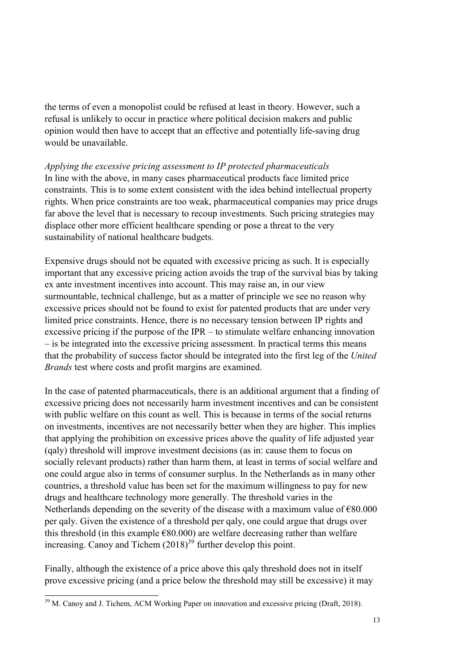the terms of even a monopolist could be refused at least in theory. However, such a refusal is unlikely to occur in practice where political decision makers and public opinion would then have to accept that an effective and potentially life-saving drug would be unavailable.

*Applying the excessive pricing assessment to IP protected pharmaceuticals*  In line with the above, in many cases pharmaceutical products face limited price constraints. This is to some extent consistent with the idea behind intellectual property rights. When price constraints are too weak, pharmaceutical companies may price drugs far above the level that is necessary to recoup investments. Such pricing strategies may displace other more efficient healthcare spending or pose a threat to the very sustainability of national healthcare budgets.

Expensive drugs should not be equated with excessive pricing as such. It is especially important that any excessive pricing action avoids the trap of the survival bias by taking ex ante investment incentives into account. This may raise an, in our view surmountable, technical challenge, but as a matter of principle we see no reason why excessive prices should not be found to exist for patented products that are under very limited price constraints. Hence, there is no necessary tension between IP rights and excessive pricing if the purpose of the IPR – to stimulate welfare enhancing innovation – is be integrated into the excessive pricing assessment. In practical terms this means that the probability of success factor should be integrated into the first leg of the *United Brands* test where costs and profit margins are examined.

In the case of patented pharmaceuticals, there is an additional argument that a finding of excessive pricing does not necessarily harm investment incentives and can be consistent with public welfare on this count as well. This is because in terms of the social returns on investments, incentives are not necessarily better when they are higher. This implies that applying the prohibition on excessive prices above the quality of life adjusted year (qaly) threshold will improve investment decisions (as in: cause them to focus on socially relevant products) rather than harm them, at least in terms of social welfare and one could argue also in terms of consumer surplus. In the Netherlands as in many other countries, a threshold value has been set for the maximum willingness to pay for new drugs and healthcare technology more generally. The threshold varies in the Netherlands depending on the severity of the disease with a maximum value of  $\epsilon$ 80.000 per qaly. Given the existence of a threshold per qaly, one could argue that drugs over this threshold (in this example  $\epsilon$ 80.000) are welfare decreasing rather than welfare increasing. Canoy and Tichem (2018) <sup>39</sup> further develop this point.

Finally, although the existence of a price above this qaly threshold does not in itself prove excessive pricing (and a price below the threshold may still be excessive) it may

<sup>-</sup> $39$  M. Canoy and J. Tichem, ACM Working Paper on innovation and excessive pricing (Draft, 2018).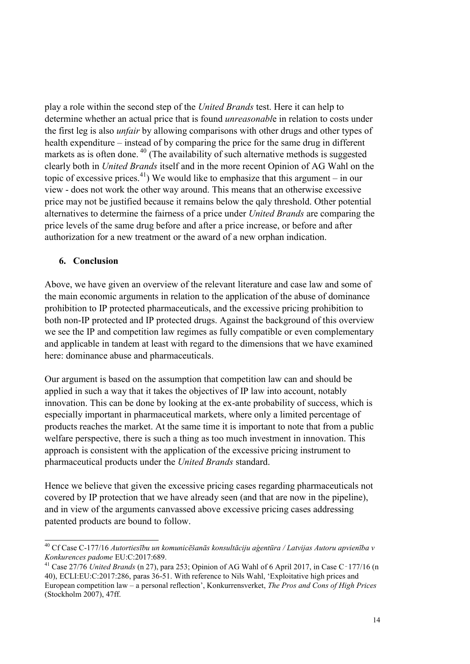play a role within the second step of the *United Brands* test. Here it can help to determine whether an actual price that is found *unreasonabl*e in relation to costs under the first leg is also *unfair* by allowing comparisons with other drugs and other types of health expenditure – instead of by comparing the price for the same drug in different markets as is often done.<sup>40</sup> (The availability of such alternative methods is suggested clearly both in *United Brands* itself and in the more recent Opinion of AG Wahl on the topic of excessive prices.<sup>41</sup>) We would like to emphasize that this argument – in our view - does not work the other way around. This means that an otherwise excessive price may not be justified because it remains below the qaly threshold. Other potential alternatives to determine the fairness of a price under *United Brands* are comparing the price levels of the same drug before and after a price increase, or before and after authorization for a new treatment or the award of a new orphan indication.

## **6. Conclusion**

Above, we have given an overview of the relevant literature and case law and some of the main economic arguments in relation to the application of the abuse of dominance prohibition to IP protected pharmaceuticals, and the excessive pricing prohibition to both non-IP protected and IP protected drugs. Against the background of this overview we see the IP and competition law regimes as fully compatible or even complementary and applicable in tandem at least with regard to the dimensions that we have examined here: dominance abuse and pharmaceuticals.

Our argument is based on the assumption that competition law can and should be applied in such a way that it takes the objectives of IP law into account, notably innovation. This can be done by looking at the ex-ante probability of success, which is especially important in pharmaceutical markets, where only a limited percentage of products reaches the market. At the same time it is important to note that from a public welfare perspective, there is such a thing as too much investment in innovation. This approach is consistent with the application of the excessive pricing instrument to pharmaceutical products under the *United Brands* standard.

Hence we believe that given the excessive pricing cases regarding pharmaceuticals not covered by IP protection that we have already seen (and that are now in the pipeline), and in view of the arguments canvassed above excessive pricing cases addressing patented products are bound to follow.

<sup>-</sup><sup>40</sup> Cf Case C-177/16 *Autortiesību un komunicēšanās konsultāciju aģentūra / Latvijas Autoru apvienība v Konkurences padome* EU:C:2017:689.

<sup>41</sup> Case 27/76 *United Brands* (n 27), para 253; Opinion of AG Wahl of 6 April 2017, in Case C‑177/16 (n 40), ECLI:EU:C:2017:286, paras 36-51. With reference to Nils Wahl, 'Exploitative high prices and European competition law – a personal reflection', Konkurrensverket, *The Pros and Cons of High Prices* (Stockholm 2007), 47ff.